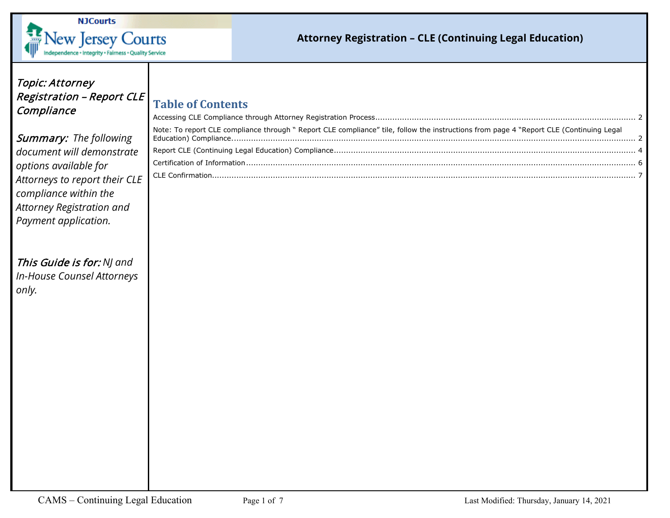

## **Attorney Registration – CLE (Continuing Legal Education)**

| <b>Topic: Attorney</b><br><b>Registration - Report CLE</b><br>Compliance                                                                                                                           | <b>Table of Contents</b>                                                                                                                |
|----------------------------------------------------------------------------------------------------------------------------------------------------------------------------------------------------|-----------------------------------------------------------------------------------------------------------------------------------------|
| <b>Summary:</b> The following<br>document will demonstrate<br>options available for<br>Attorneys to report their CLE<br>compliance within the<br>Attorney Registration and<br>Payment application. | Note: To report CLE compliance through " Report CLE compliance" tile, follow the instructions from page 4 "Report CLE (Continuing Legal |
| This Guide is for: NJ and<br>In-House Counsel Attorneys<br>only.                                                                                                                                   |                                                                                                                                         |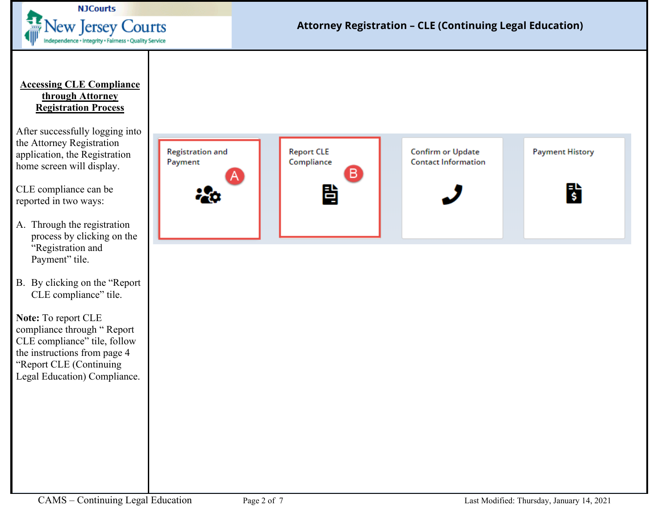

<span id="page-1-1"></span><span id="page-1-0"></span>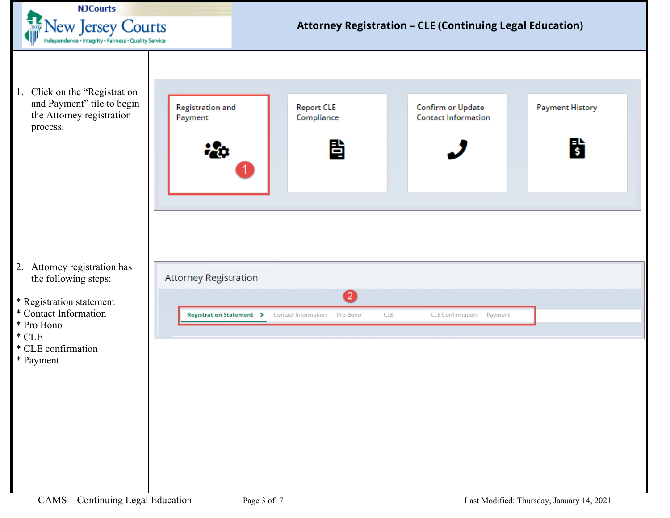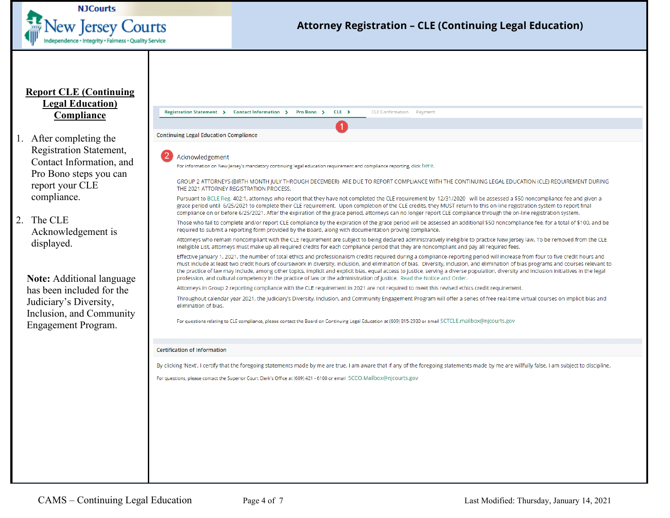

<span id="page-3-0"></span>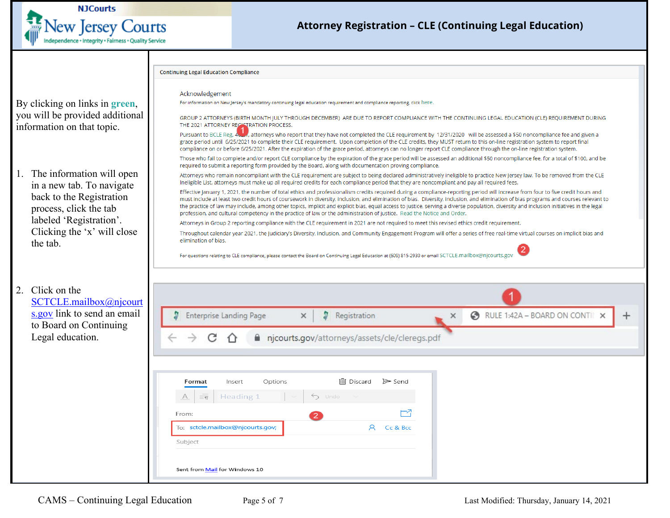

By clicking on links in **green**,

## **Attorney Registration – CLE (Continuing Legal Education)**

Continuing Legal Education Compliance

Acknowled gement

**For information on New Jersey's mandatory continuing legal education requirement and compliance reporting, click here.** 

you will be provided additional information on that topic. 1. The information will open in a new tab. To navigate back to the Registration process, click the tab labeled 'Registration'. Clicking the 'x' will close the tab. 2. Click on the [SCTCLE.mailbox@njcourt](mailto:SCTCLE.mailbox@njcourts.gov) GROUP 2 ATTORNEYS (BIRTH MONTH JULY THROUGH DECEMBER) ARE DUE TO REPORT COMPLIANCE WITH THE CONTINUING LEGAL EDUCATION (CLE) REQUIREMENT DURING THE 2021 ATTORNEY REGISTRATION PROCESS. Pursuant to BCLE Reg. 4. **A** attorneys who report that they have not completed the CLE requirement by 12/31/2020 will be assessed a \$50 noncompliance fee and given a grace period until 6/25/2021 to complete their CLE requirement. Upon completion of the CLE credits, they MUST return to this on-line registration system to report final compliance on or before 6/25/2021. After the expiration of the grace period, attorneys can no longer report CLE compliance through the on-line registration system. Those who fail to complete and/or report CLE compliance by the expiration of the grace period will be assessed an additional \$50 noncompliance fee, for a total of \$100, and be required to submit a reporting form provided by the Board, along with documentation proving compliance. Attorneys who remain noncompliant with the CLE requirement are subject to being declared administratively ineligible to practice New Jersey law. To be removed from the CLE Ineligible List. attorneys must make up all required credits for each compliance period that they are noncompliant and pay all required fees. Effective January 1, 2021, the number of total ethics and professionalism credits required during a compliance-reporting period will increase from four to five credit hours and must include at least two credit hours of coursework in diversity, inclusion, and elimination of bias. Diversity, inclusion, and elimination of bias programs and courses relevant to the practice of law may include, among other topics, implicit and explicit bias, equal access to justice, serving a diverse population, diversity and inclusion initiatives in the legal profession. and cultural competency in the practice of law or the administration of justice. Read the Notice and Order. Attorneys in Group 2 reporting compliance with the CLE requirement in 2021 are not required to meet this revised ethics credit requirement. Throughout calendar year 2021. the Judiciary's Diversity, Inclusion. and Community Engagement Program will offer a series of free real-time virtual courses on implicit bias and elimination of bias. For questions relating to CLE compliance, please contact the Board on Continuing Legal Education at (609) 815-2930 or email SCTCLE.mailbox@njcourts.gov

I [s.gov](mailto:SCTCLE.mailbox@njcourts.gov) link to send an email **0RULE 1:42A - BOARD ON CONTIL X** Enterprise Landing Page  $\times$  | **P** Registration  $\times$ to Board on Continuing Legal education. ➔ **C 0 i** njcourts.gov/attorneys/assets/cle/cleregs.pdf  $\widehat{\mathbb{m}}$  Discard  $\geqslant$  Send **Format** Insert Options Heading: 己가 From: I To: sctcle.mai lbox@njcourts.gov; I A Cc & Bee Subject **Sent from Mail for- W indows 10**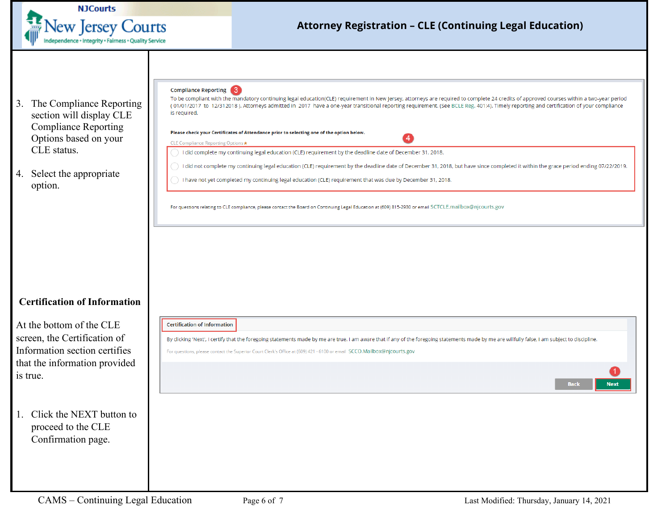<span id="page-5-0"></span>